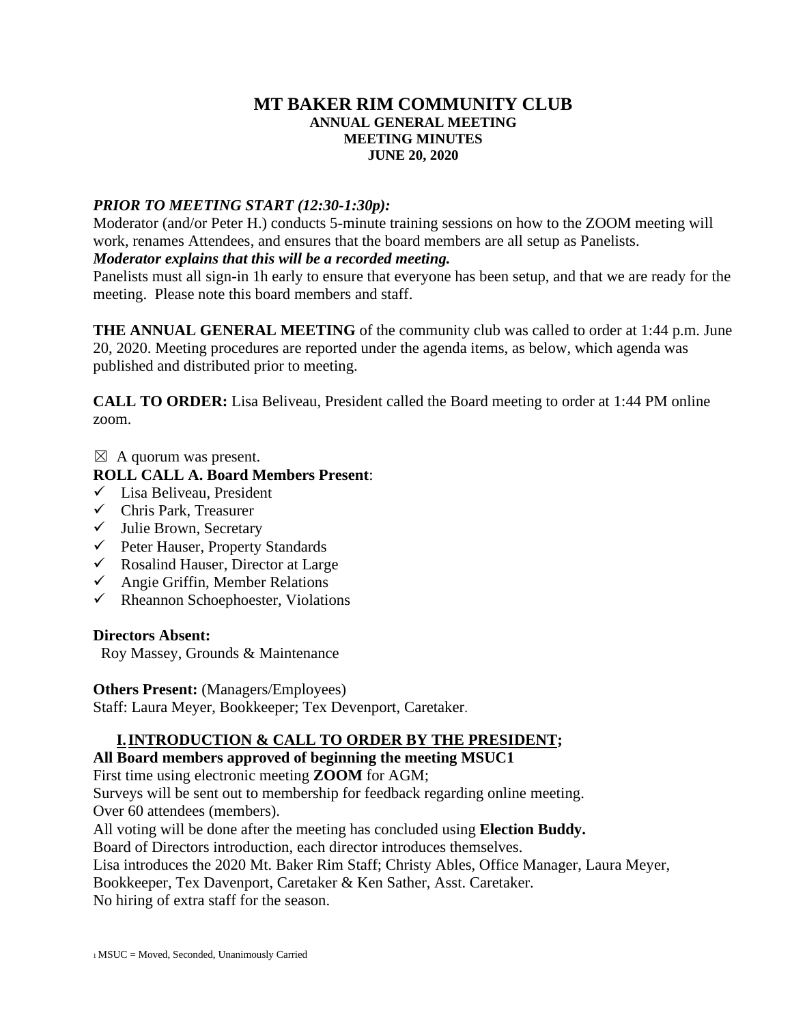#### **MT BAKER RIM COMMUNITY CLUB ANNUAL GENERAL MEETING MEETING MINUTES JUNE 20, 2020**

### *PRIOR TO MEETING START (12:30-1:30p):*

Moderator (and/or Peter H.) conducts 5-minute training sessions on how to the ZOOM meeting will work, renames Attendees, and ensures that the board members are all setup as Panelists. *Moderator explains that this will be a recorded meeting.*

#### Panelists must all sign-in 1h early to ensure that everyone has been setup, and that we are ready for the meeting. Please note this board members and staff.

**THE ANNUAL GENERAL MEETING** of the community club was called to order at 1:44 p.m. June 20, 2020. Meeting procedures are reported under the agenda items, as below, which agenda was published and distributed prior to meeting.

**CALL TO ORDER:** Lisa Beliveau, President called the Board meeting to order at 1:44 PM online zoom.

 $\boxtimes$  A quorum was present.

## **ROLL CALL A. Board Members Present**:

- ✓ Lisa Beliveau, President
- $\checkmark$  Chris Park, Treasurer
- $\checkmark$  Julie Brown, Secretary
- ✓ Peter Hauser, Property Standards
- $\checkmark$  Rosalind Hauser, Director at Large
- $\checkmark$  Angie Griffin, Member Relations
- $\checkmark$  Rheannon Schoephoester, Violations

### **Directors Absent:**

Roy Massey, Grounds & Maintenance

### **Others Present:** (Managers/Employees)

Staff: Laura Meyer, Bookkeeper; Tex Devenport, Caretaker.

# **I.INTRODUCTION & CALL TO ORDER BY THE PRESIDENT;**

### **All Board members approved of beginning the meeting MSUC1**

First time using electronic meeting **ZOOM** for AGM;

Surveys will be sent out to membership for feedback regarding online meeting. Over 60 attendees (members).

All voting will be done after the meeting has concluded using **Election Buddy.**

Board of Directors introduction, each director introduces themselves.

Lisa introduces the 2020 Mt. Baker Rim Staff; Christy Ables, Office Manager, Laura Meyer,

Bookkeeper, Tex Davenport, Caretaker & Ken Sather, Asst. Caretaker.

No hiring of extra staff for the season.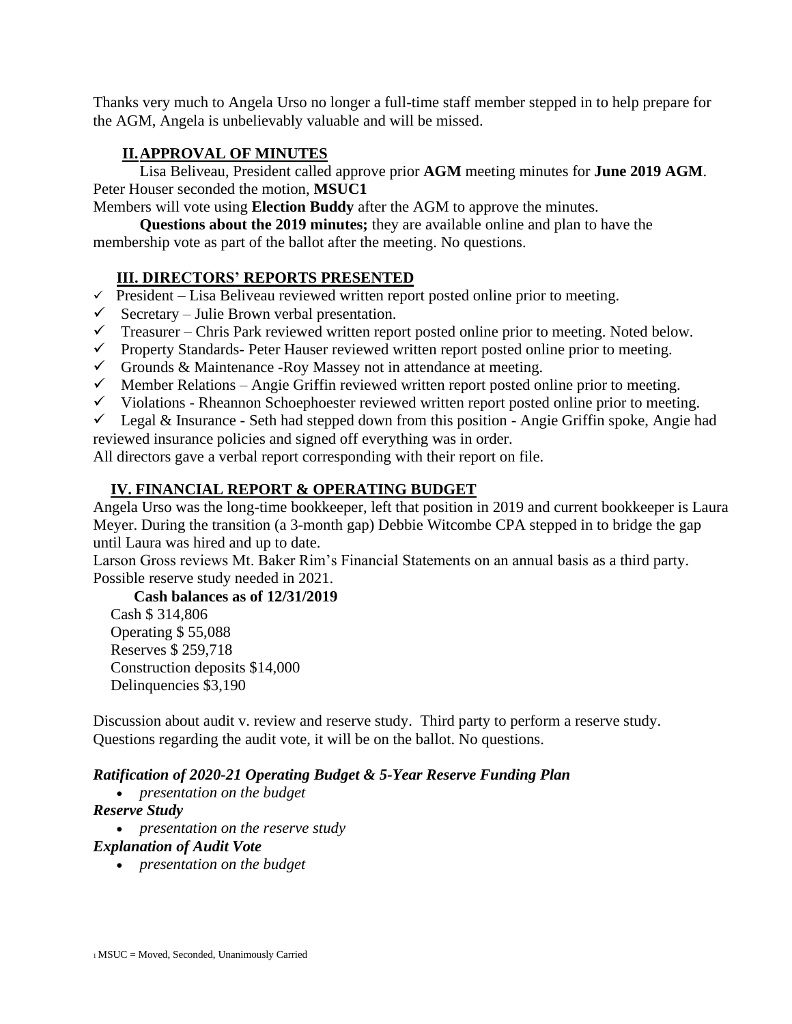Thanks very much to Angela Urso no longer a full-time staff member stepped in to help prepare for the AGM, Angela is unbelievably valuable and will be missed.

## **II.APPROVAL OF MINUTES**

Lisa Beliveau, President called approve prior **AGM** meeting minutes for **June 2019 AGM**. Peter Houser seconded the motion, **MSUC1**

Members will vote using **Election Buddy** after the AGM to approve the minutes.

**Questions about the 2019 minutes;** they are available online and plan to have the membership vote as part of the ballot after the meeting. No questions.

## **III. DIRECTORS' REPORTS PRESENTED**

- $\checkmark$  President Lisa Beliveau reviewed written report posted online prior to meeting.
- $\checkmark$  Secretary Julie Brown verbal presentation.
- $\checkmark$  Treasurer Chris Park reviewed written report posted online prior to meeting. Noted below.
- ✓ Property Standards- Peter Hauser reviewed written report posted online prior to meeting.
- $\checkmark$  Grounds & Maintenance -Roy Massey not in attendance at meeting.
- $\checkmark$  Member Relations Angie Griffin reviewed written report posted online prior to meeting.
- $\checkmark$  Violations Rheannon Schoephoester reviewed written report posted online prior to meeting.
- $\checkmark$  Legal & Insurance Seth had stepped down from this position Angie Griffin spoke, Angie had

reviewed insurance policies and signed off everything was in order.

All directors gave a verbal report corresponding with their report on file.

## **IV. FINANCIAL REPORT & OPERATING BUDGET**

Angela Urso was the long-time bookkeeper, left that position in 2019 and current bookkeeper is Laura Meyer. During the transition (a 3-month gap) Debbie Witcombe CPA stepped in to bridge the gap until Laura was hired and up to date.

Larson Gross reviews Mt. Baker Rim's Financial Statements on an annual basis as a third party. Possible reserve study needed in 2021.

### **Cash balances as of 12/31/2019**

Cash \$ 314,806 Operating \$ 55,088 Reserves \$ 259,718 Construction deposits \$14,000 Delinquencies \$3,190

Discussion about audit v. review and reserve study. Third party to perform a reserve study. Questions regarding the audit vote, it will be on the ballot. No questions.

## *Ratification of 2020-21 Operating Budget & 5-Year Reserve Funding Plan*

• *presentation on the budget*

### *Reserve Study*

• *presentation on the reserve study*

### *Explanation of Audit Vote*

• *presentation on the budget*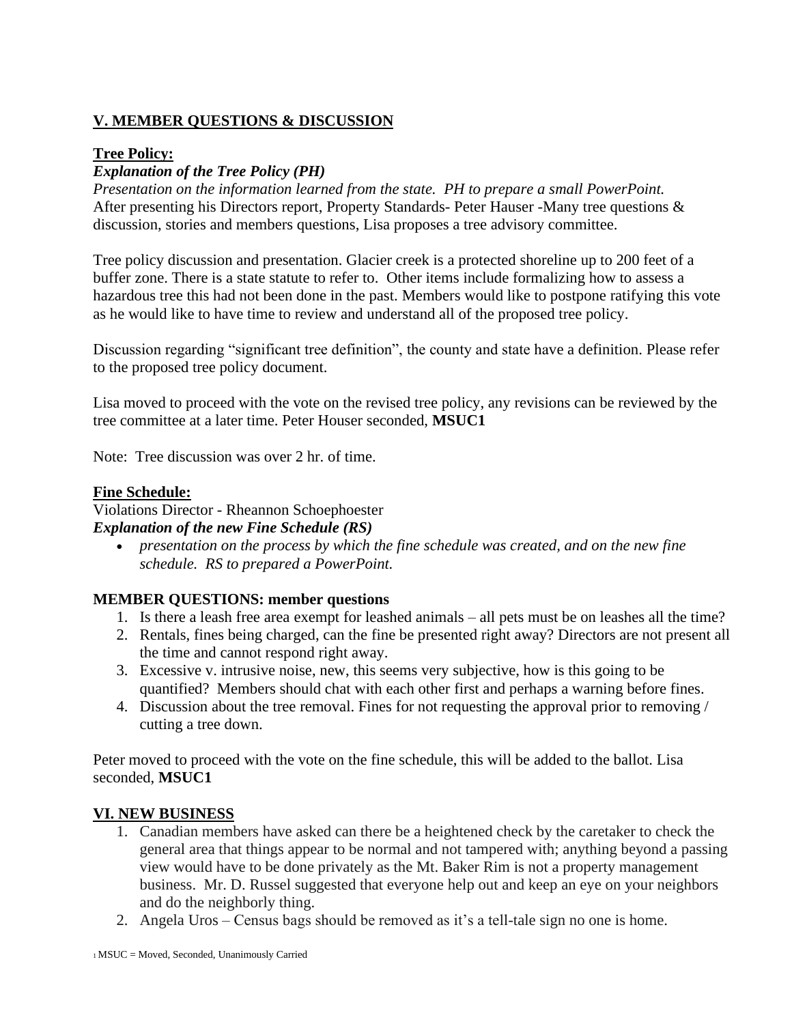## **V. MEMBER QUESTIONS & DISCUSSION**

#### **Tree Policy:**

### *Explanation of the Tree Policy (PH)*

*Presentation on the information learned from the state. PH to prepare a small PowerPoint.* After presenting his Directors report, Property Standards- Peter Hauser -Many tree questions & discussion, stories and members questions, Lisa proposes a tree advisory committee.

Tree policy discussion and presentation. Glacier creek is a protected shoreline up to 200 feet of a buffer zone. There is a state statute to refer to. Other items include formalizing how to assess a hazardous tree this had not been done in the past. Members would like to postpone ratifying this vote as he would like to have time to review and understand all of the proposed tree policy.

Discussion regarding "significant tree definition", the county and state have a definition. Please refer to the proposed tree policy document.

Lisa moved to proceed with the vote on the revised tree policy, any revisions can be reviewed by the tree committee at a later time. Peter Houser seconded, **MSUC1** 

Note: Tree discussion was over 2 hr. of time.

#### **Fine Schedule:**

Violations Director - Rheannon Schoephoester *Explanation of the new Fine Schedule (RS)*

• *presentation on the process by which the fine schedule was created, and on the new fine schedule. RS to prepared a PowerPoint.*

### **MEMBER QUESTIONS: member questions**

- 1. Is there a leash free area exempt for leashed animals all pets must be on leashes all the time?
- 2. Rentals, fines being charged, can the fine be presented right away? Directors are not present all the time and cannot respond right away.
- 3. Excessive v. intrusive noise, new, this seems very subjective, how is this going to be quantified? Members should chat with each other first and perhaps a warning before fines.
- 4. Discussion about the tree removal. Fines for not requesting the approval prior to removing / cutting a tree down.

Peter moved to proceed with the vote on the fine schedule, this will be added to the ballot. Lisa seconded, **MSUC1** 

#### **VI. NEW BUSINESS**

- 1. Canadian members have asked can there be a heightened check by the caretaker to check the general area that things appear to be normal and not tampered with; anything beyond a passing view would have to be done privately as the Mt. Baker Rim is not a property management business. Mr. D. Russel suggested that everyone help out and keep an eye on your neighbors and do the neighborly thing.
- 2. Angela Uros Census bags should be removed as it's a tell-tale sign no one is home.